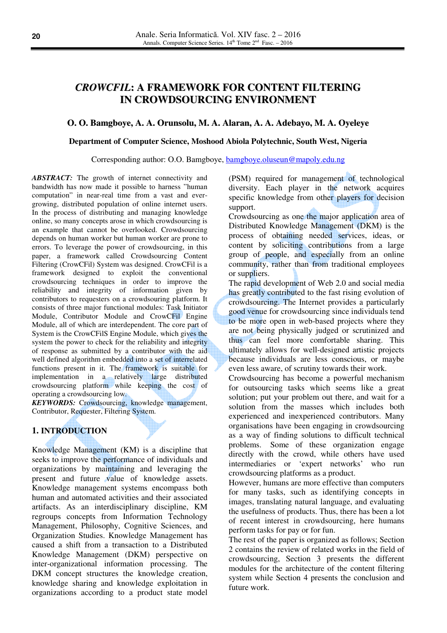# *CROWCFIL***: A FRAMEWORK FOR CONTENT FILTERING IN CROWDSOURCING ENVIRONMENT**

# **O. O. Bamgboye, A. A. Orunsolu, M. A. Alaran, A. A. Adebayo, M. A. Oyeleye**

#### **Department of Computer Science, Moshood Abiola Polytechnic, South West, Nigeria**

Corresponding author: O.O. Bamgboye, bamgboye.oluseun@mapoly.edu.ng

*ABSTRACT:* The growth of internet connectivity and bandwidth has now made it possible to harness "human computation" in near-real time from a vast and evergrowing, distributed population of online internet users. In the process of distributing and managing knowledge online, so many concepts arose in which crowdsourcing is an example that cannot be overlooked. Crowdsourcing depends on human worker but human worker are prone to errors. To leverage the power of crowdsourcing, in this paper, a framework called Crowdsourcing Content Filtering (CrowCFil) System was designed. CrowCFil is a framework designed to exploit the conventional crowdsourcing techniques in order to improve the reliability and integrity of information given by contributors to requesters on a crowdsouring platform. It consists of three major functional modules: Task Initiator Module, Contributor Module and CrowCFil Engine Module, all of which are interdependent. The core part of System is the CrowCFilS Engine Module, which gives the system the power to check for the reliability and integrity of response as submitted by a contributor with the aid well defined algorithm embedded into a set of interrelated functions present in it. The framework is suitable for implementation in a relatively large distributed crowdsourcing platform while keeping the cost of operating a crowdsourcing low.

*KEYWORDS:* Crowdsourcing, knowledge management, Contributor, Requester, Filtering System.

# **1. INTRODUCTION**

Knowledge Management (KM) is a discipline that seeks to improve the performance of individuals and organizations by maintaining and leveraging the present and future value of knowledge assets. Knowledge management systems encompass both human and automated activities and their associated artifacts. As an interdisciplinary discipline, KM regroups concepts from Information Technology Management, Philosophy, Cognitive Sciences, and Organization Studies. Knowledge Management has caused a shift from a transaction to a Distributed Knowledge Management (DKM) perspective on inter-organizational information processing. The DKM concept structures the knowledge creation, knowledge sharing and knowledge exploitation in organizations according to a product state model (PSM) required for management of technological diversity. Each player in the network acquires specific knowledge from other players for decision support.

Crowdsourcing as one the major application area of Distributed Knowledge Management (DKM) is the process of obtaining needed services, ideas, or content by soliciting contributions from a large group of people, and especially from an online community, rather than from traditional employees or suppliers.

The rapid development of Web 2.0 and social media has greatly contributed to the fast rising evolution of crowdsourcing. The Internet provides a particularly good venue for crowdsourcing since individuals tend to be more open in web-based projects where they are not being physically judged or scrutinized and thus can feel more comfortable sharing. This ultimately allows for well-designed artistic projects because individuals are less conscious, or maybe even less aware, of scrutiny towards their work.

Crowdsourcing has become a powerful mechanism for outsourcing tasks which seems like a great solution; put your problem out there, and wait for a solution from the masses which includes both experienced and inexperienced contributors. Many organisations have been engaging in crowdsourcing as a way of finding solutions to difficult technical problems. Some of these organization engage directly with the crowd, while others have used intermediaries or 'expert networks' who run crowdsourcing platforms as a product.

However, humans are more effective than computers for many tasks, such as identifying concepts in images, translating natural language, and evaluating the usefulness of products. Thus, there has been a lot of recent interest in crowdsourcing, here humans perform tasks for pay or for fun.

The rest of the paper is organized as follows; Section 2 contains the review of related works in the field of crowdsourcing, Section 3 presents the different modules for the architecture of the content filtering system while Section 4 presents the conclusion and future work.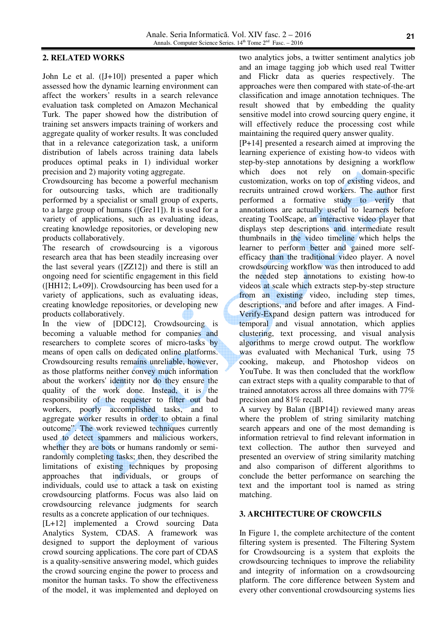# **2. RELATED WORKS**

John Le et al. ([J+10]) presented a paper which assessed how the dynamic learning environment can affect the workers' results in a search relevance evaluation task completed on Amazon Mechanical Turk. The paper showed how the distribution of training set answers impacts training of workers and aggregate quality of worker results. It was concluded that in a relevance categorization task, a uniform distribution of labels across training data labels produces optimal peaks in 1) individual worker precision and 2) majority voting aggregate.

Crowdsourcing has become a powerful mechanism for outsourcing tasks, which are traditionally performed by a specialist or small group of experts, to a large group of humans ([Gre11]). It is used for a variety of applications, such as evaluating ideas, creating knowledge repositories, or developing new products collaboratively.

The research of crowdsourcing is a vigorous research area that has been steadily increasing over the last several years ([ZZ12]) and there is still an ongoing need for scientific engagement in this field ([HH12; L+09]). Crowdsourcing has been used for a variety of applications, such as evaluating ideas, creating knowledge repositories, or developing new products collaboratively.

In the view of [DDC12], Crowdsourcing is becoming a valuable method for companies and researchers to complete scores of micro-tasks by means of open calls on dedicated online platforms. Crowdsourcing results remains unreliable, however, as those platforms neither convey much information about the workers' identity nor do they ensure the quality of the work done. Instead, it is the responsibility of the requester to filter out bad workers, poorly accomplished tasks, and to aggregate worker results in order to obtain a final outcome". The work reviewed techniques currently used to detect spammers and malicious workers, whether they are bots or humans randomly or semirandomly completing tasks; then, they described the limitations of existing techniques by proposing approaches that individuals, or groups of individuals, could use to attack a task on existing crowdsourcing platforms. Focus was also laid on crowdsourcing relevance judgments for search results as a concrete application of our techniques.

[L+12] implemented a Crowd sourcing Data Analytics System, CDAS. A framework was designed to support the deployment of various crowd sourcing applications. The core part of CDAS is a quality-sensitive answering model, which guides the crowd sourcing engine the power to process and monitor the human tasks. To show the effectiveness of the model, it was implemented and deployed on two analytics jobs, a twitter sentiment analytics job and an image tagging job which used real Twitter and Flickr data as queries respectively. The approaches were then compared with state-of-the-art classification and image annotation techniques. The result showed that by embedding the quality sensitive model into crowd sourcing query engine, it will effectively reduce the processing cost while maintaining the required query answer quality.

[P+14] presented a research aimed at improving the learning experience of existing how-to videos with step-by-step annotations by designing a workflow which does not rely on domain-specific customization, works on top of existing videos, and recruits untrained crowd workers. The author first performed a formative study to verify that annotations are actually useful to learners before creating ToolScape, an interactive video player that displays step descriptions and intermediate result thumbnails in the video timeline which helps the learner to perform better and gained more selfefficacy than the traditional video player. A novel crowdsourcing workflow was then introduced to add the needed step annotations to existing how-to videos at scale which extracts step-by-step structure from an existing video, including step times, descriptions, and before and after images. A Find-Verify-Expand design pattern was introduced for temporal and visual annotation, which applies clustering, text processing, and visual analysis algorithms to merge crowd output. The workflow was evaluated with Mechanical Turk, using 75 cooking, makeup, and Photoshop videos on YouTube. It was then concluded that the workflow can extract steps with a quality comparable to that of trained annotators across all three domains with 77% precision and 81% recall.

A survey by Balan ([BP14]) reviewed many areas where the problem of string similarity matching search appears and one of the most demanding is information retrieval to find relevant information in text collection. The author then surveyed and presented an overview of string similarity matching and also comparison of different algorithms to conclude the better performance on searching the text and the important tool is named as string matching.

# **3. ARCHITECTURE OF CROWCFILS**

In Figure 1, the complete architecture of the content filtering system is presented. The Filtering System for Crowdsourcing is a system that exploits the crowdsourcing techniques to improve the reliability and integrity of information on a crowdsourcing platform. The core difference between System and every other conventional crowdsourcing systems lies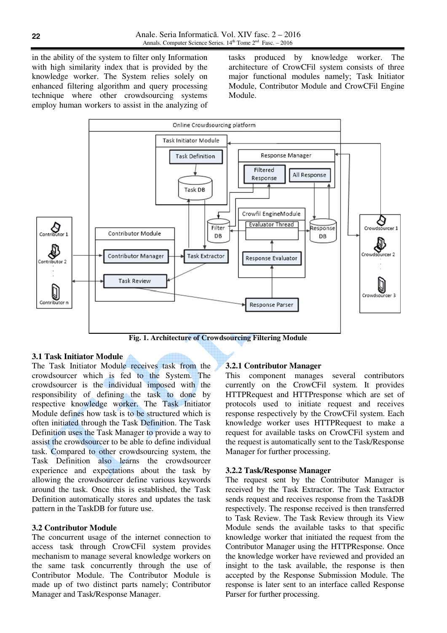in the ability of the system to filter only Information with high similarity index that is provided by the knowledge worker. The System relies solely on enhanced filtering algorithm and query processing technique where other crowdsourcing systems employ human workers to assist in the analyzing of

tasks produced by knowledge worker. The architecture of CrowCFil system consists of three major functional modules namely; Task Initiator Module, Contributor Module and CrowCFil Engine Module.



**Fig. 1. Architecture of Crowdsourcing Filtering Module** 

# **3.1 Task Initiator Module**

The Task Initiator Module receives task from the crowdsourcer which is fed to the System. The crowdsourcer is the individual imposed with the responsibility of defining the task to done by respective knowledge worker. The Task Initiator Module defines how task is to be structured which is often initiated through the Task Definition. The Task Definition uses the Task Manager to provide a way to assist the crowdsourcer to be able to define individual task. Compared to other crowdsourcing system, the Task Definition also learns the crowdsourcer experience and expectations about the task by allowing the crowdsourcer define various keywords around the task. Once this is established, the Task Definition automatically stores and updates the task pattern in the TaskDB for future use.

# **3.2 Contributor Module**

The concurrent usage of the internet connection to access task through CrowCFil system provides mechanism to manage several knowledge workers on the same task concurrently through the use of Contributor Module. The Contributor Module is made up of two distinct parts namely; Contributor Manager and Task/Response Manager.

#### **3.2.1 Contributor Manager**

This component manages several contributors currently on the CrowCFil system. It provides HTTPRequest and HTTPresponse which are set of protocols used to initiate request and receives response respectively by the CrowCFil system. Each knowledge worker uses HTTPRequest to make a request for available tasks on CrowCFil system and the request is automatically sent to the Task/Response Manager for further processing.

### **3.2.2 Task/Response Manager**

The request sent by the Contributor Manager is received by the Task Extractor. The Task Extractor sends request and receives response from the TaskDB respectively. The response received is then transferred to Task Review. The Task Review through its View Module sends the available tasks to that specific knowledge worker that initiated the request from the Contributor Manager using the HTTPResponse. Once the knowledge worker have reviewed and provided an insight to the task available, the response is then accepted by the Response Submission Module. The response is later sent to an interface called Response Parser for further processing.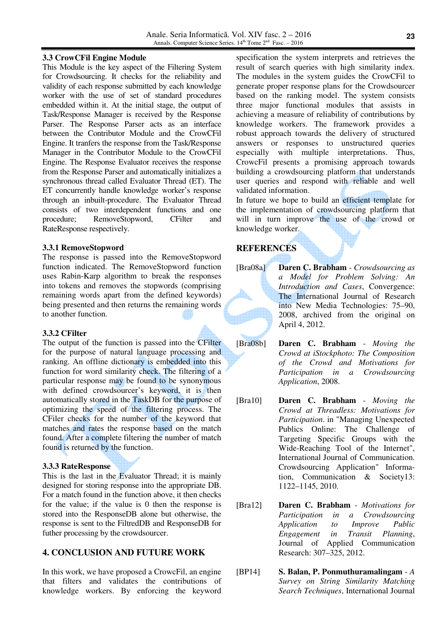### **3.3 CrowCFil Engine Module**

This Module is the key aspect of the Filtering System for Crowdsourcing. It checks for the reliability and validity of each response submitted by each knowledge worker with the use of set of standard procedures embedded within it. At the initial stage, the output of Task/Response Manager is received by the Response Parser. The Response Parser acts as an interface between the Contributor Module and the CrowCFil Engine. It tranfers the response from the Task/Response Manager in the Contributor Module to the CrowCFil Engine. The Response Evaluator receives the response from the Response Parser and automatically initializes a synchronous thread called Evaluator Thread (ET). The ET concurrently handle knowledge worker's response through an inbuilt-procedure. The Evaluator Thread consists of two interdependent functions and one procedure; RemoveStopword, CFilter and RateResponse respectively.

### **3.3.1 RemoveStopword**

The response is passed into the RemoveStopword function indicated. The RemoveStopword function uses Rabin-Karp algorithm to break the responses into tokens and removes the stopwords (comprising remaining words apart from the defined keywords) being presented and then returns the remaining words to another function.

# **3.3.2 CFilter**

The output of the function is passed into the CFilter for the purpose of natural language processing and ranking. An offline dictionary is embedded into this function for word similarity check. The filtering of a particular response may be found to be synonymous with defined crowdsourcer's keyword, it is then automatically stored in the TaskDB for the purpose of optimizing the speed of the filtering process. The CFiler checks for the number of the keyword that matches and rates the response based on the match found. After a complete filtering the number of match found is returned by the function.

#### **3.3.3 RateResponse**

This is the last in the Evaluator Thread; it is mainly designed for storing response into the appropriate DB. For a match found in the function above, it then checks for the value; if the value is 0 then the response is stored into the ResponseDB alone but otherwise, the response is sent to the FiltredDB and ResponseDB for futher processing by the crowdsourcer.

# **4. CONCLUSION AND FUTURE WORK**

In this work, we have proposed a CrowcFil, an engine that filters and validates the contributions of knowledge workers. By enforcing the keyword

specification the system interprets and retrieves the result of search queries with high similarity index. The modules in the system guides the CrowCFil to generate proper response plans for the Crowdsourcer based on the ranking model. The system consists three major functional modules that assists in achieving a measure of reliability of contributions by knowledge workers. The framework provides a robust approach towards the delivery of structured answers or responses to unstructured queries especially with multiple interpretations. Thus, CrowcFil presents a promising approach towards building a crowdsourcing platform that understands user queries and respond with reliable and well validated information.

In future we hope to build an efficient template for the implementation of crowdsourcing platform that will in turn improve the use of the crowd or knowledge worker.

# **REFERENCES**

- [Bra08a] **Daren C. Brabham** *Crowdsourcing as a Model for Problem Solving: An Introduction and Cases*, Convergence: The International Journal of Research into New Media Technologies: 75–90, 2008, archived from the original on April 4, 2012.
- [Bra08b] **Daren C. Brabham** *Moving the Crowd at iStockphoto: The Composition of the Crowd and Motivations for Participation in a Crowdsourcing Application*, 2008.
- [Bra10] **Daren C. Brabham** *Moving the Crowd at Threadless: Motivations for Participation*. in "Managing Unexpected Publics Online: The Challenge of Targeting Specific Groups with the Wide-Reaching Tool of the Internet", International Journal of Communication. Crowdsourcing Application" Information, Communication & Society13: 1122–1145, 2010.
- [Bra12] **Daren C. Brabham** *Motivations for Participation in a Crowdsourcing Application to Improve Public Engagement in Transit Planning*, Journal of Applied Communication Research: 307–325, 2012.
- [BP14] **S. Balan, P. Ponmuthuramalingam** *A Survey on String Similarity Matching Search Techniques*, International Journal